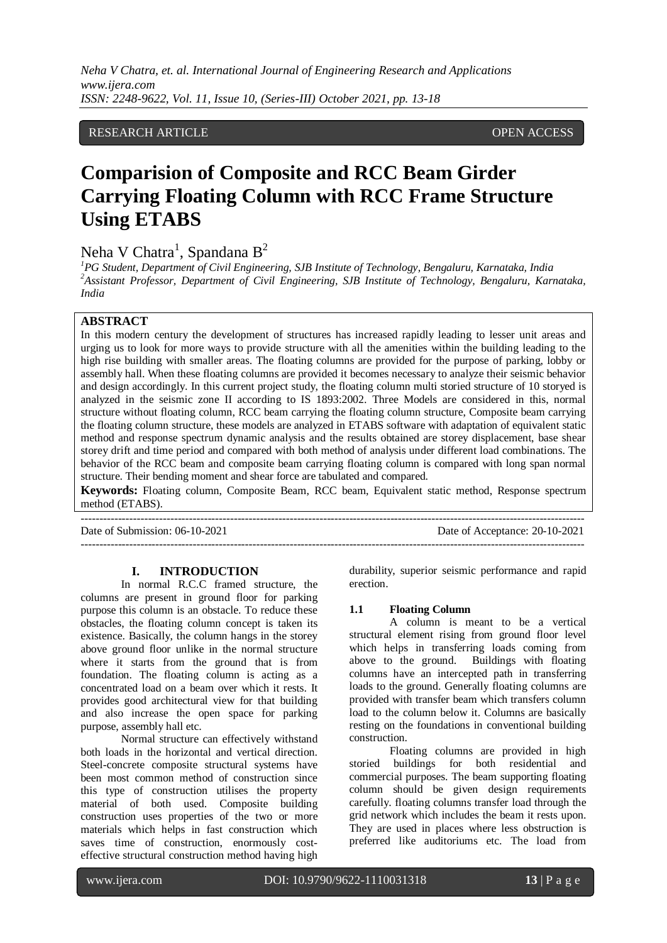*Neha V Chatra, et. al. International Journal of Engineering Research and Applications www.ijera.com ISSN: 2248-9622, Vol. 11, Issue 10, (Series-III) October 2021, pp. 13-18*

### RESEARCH ARTICLE **CONTRACT ARTICLE** AND A SERVICE OPEN ACCESS OPEN ACCESS

# **Comparision of Composite and RCC Beam Girder Carrying Floating Column with RCC Frame Structure Using ETABS**

## Neha V Chatra<sup>1</sup>, Spandana B<sup>2</sup>

*<sup>1</sup>PG Student, Department of Civil Engineering, SJB Institute of Technology, Bengaluru, Karnataka, India <sup>2</sup>Assistant Professor, Department of Civil Engineering, SJB Institute of Technology, Bengaluru, Karnataka, India*

#### **ABSTRACT**

In this modern century the development of structures has increased rapidly leading to lesser unit areas and urging us to look for more ways to provide structure with all the amenities within the building leading to the high rise building with smaller areas. The floating columns are provided for the purpose of parking, lobby or assembly hall. When these floating columns are provided it becomes necessary to analyze their seismic behavior and design accordingly. In this current project study, the floating column multi storied structure of 10 storyed is analyzed in the seismic zone II according to IS 1893:2002. Three Models are considered in this, normal structure without floating column, RCC beam carrying the floating column structure, Composite beam carrying the floating column structure, these models are analyzed in ETABS software with adaptation of equivalent static method and response spectrum dynamic analysis and the results obtained are storey displacement, base shear storey drift and time period and compared with both method of analysis under different load combinations. The behavior of the RCC beam and composite beam carrying floating column is compared with long span normal structure. Their bending moment and shear force are tabulated and compared.

**Keywords:** Floating column, Composite Beam, RCC beam, Equivalent static method, Response spectrum method (ETABS).

---------------------------------------------------------------------------------------------------------------------------------------

---------------------------------------------------------------------------------------------------------------------------------------

Date of Submission: 06-10-2021 Date of Acceptance: 20-10-2021

#### **I. INTRODUCTION**

In normal R.C.C framed structure, the columns are present in ground floor for parking purpose this column is an obstacle. To reduce these obstacles, the floating column concept is taken its existence. Basically, the column hangs in the storey above ground floor unlike in the normal structure where it starts from the ground that is from foundation. The floating column is acting as a concentrated load on a beam over which it rests. It provides good architectural view for that building and also increase the open space for parking purpose, assembly hall etc.

Normal structure can effectively withstand both loads in the horizontal and vertical direction. Steel-concrete composite structural systems have been most common method of construction since this type of construction utilises the property material of both used. Composite building construction uses properties of the two or more materials which helps in fast construction which saves time of construction, enormously costeffective structural construction method having high

durability, superior seismic performance and rapid erection.

#### **1.1 Floating Column**

A column is meant to be a vertical structural element rising from ground floor level which helps in transferring loads coming from above to the ground. Buildings with floating columns have an intercepted path in transferring loads to the ground. Generally floating columns are provided with transfer beam which transfers column load to the column below it. Columns are basically resting on the foundations in conventional building construction.

Floating columns are provided in high storied buildings for both residential and commercial purposes. The beam supporting floating column should be given design requirements carefully. floating columns transfer load through the grid network which includes the beam it rests upon. They are used in places where less obstruction is preferred like auditoriums etc. The load from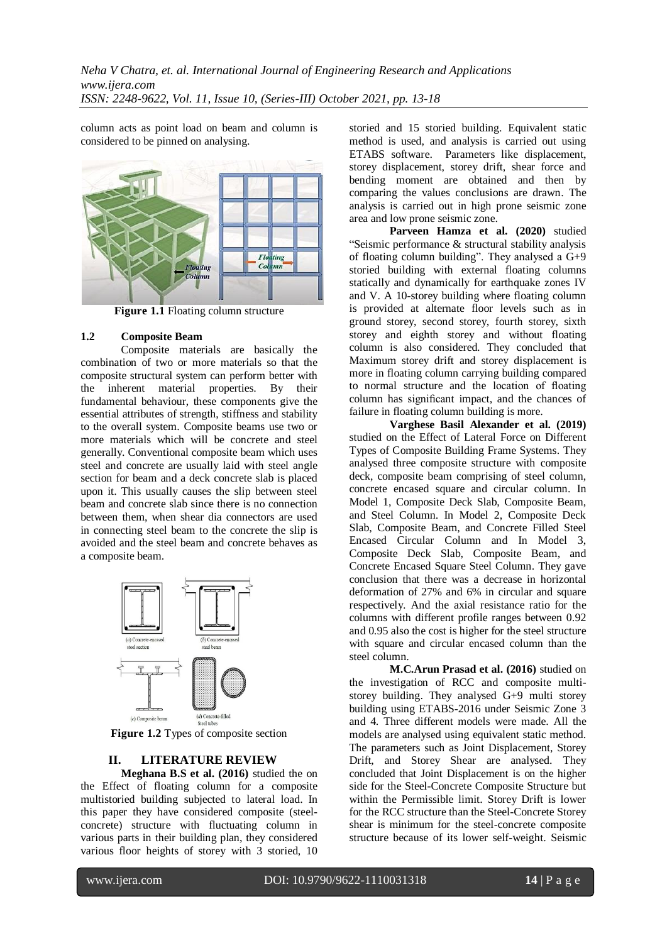column acts as point load on beam and column is considered to be pinned on analysing.



**Figure 1.1** Floating column structure

#### **1.2 Composite Beam**

Composite materials are basically the combination of two or more materials so that the composite structural system can perform better with the inherent material properties. By their fundamental behaviour, these components give the essential attributes of strength, stiffness and stability to the overall system. Composite beams use two or more materials which will be concrete and steel generally. Conventional composite beam which uses steel and concrete are usually laid with steel angle section for beam and a deck concrete slab is placed upon it. This usually causes the slip between steel beam and concrete slab since there is no connection between them, when shear dia connectors are used in connecting steel beam to the concrete the slip is avoided and the steel beam and concrete behaves as a composite beam.



**Figure 1.2** Types of composite section

#### **II. LITERATURE REVIEW**

**Meghana B.S et al. (2016)** studied the on the Effect of floating column for a composite multistoried building subjected to lateral load. In this paper they have considered composite (steelconcrete) structure with fluctuating column in various parts in their building plan, they considered various floor heights of storey with 3 storied, 10 storied and 15 storied building. Equivalent static method is used, and analysis is carried out using ETABS software. Parameters like displacement, storey displacement, storey drift, shear force and bending moment are obtained and then by comparing the values conclusions are drawn. The analysis is carried out in high prone seismic zone area and low prone seismic zone.

Parveen Hamza et al. (2020) studied "Seismic performance & structural stability analysis of floating column building". They analysed a G+9 storied building with external floating columns statically and dynamically for earthquake zones IV and V. A 10-storey building where floating column is provided at alternate floor levels such as in ground storey, second storey, fourth storey, sixth storey and eighth storey and without floating column is also considered. They concluded that Maximum storey drift and storey displacement is more in floating column carrying building compared to normal structure and the location of floating column has significant impact, and the chances of failure in floating column building is more.

**Varghese Basil Alexander et al. (2019)** studied on the Effect of Lateral Force on Different Types of Composite Building Frame Systems. They analysed three composite structure with composite deck, composite beam comprising of steel column, concrete encased square and circular column. In Model 1, Composite Deck Slab, Composite Beam, and Steel Column. In Model 2, Composite Deck Slab, Composite Beam, and Concrete Filled Steel Encased Circular Column and In Model 3, Composite Deck Slab, Composite Beam, and Concrete Encased Square Steel Column. They gave conclusion that there was a decrease in horizontal deformation of 27% and 6% in circular and square respectively. And the axial resistance ratio for the columns with different profile ranges between 0.92 and 0.95 also the cost is higher for the steel structure with square and circular encased column than the steel column.

**M.C.Arun Prasad et al. (2016)** studied on the investigation of RCC and composite multistorey building. They analysed G+9 multi storey building using ETABS-2016 under Seismic Zone 3 and 4. Three different models were made. All the models are analysed using equivalent static method. The parameters such as Joint Displacement, Storey Drift, and Storey Shear are analysed. They concluded that Joint Displacement is on the higher side for the Steel-Concrete Composite Structure but within the Permissible limit. Storey Drift is lower for the RCC structure than the Steel-Concrete Storey shear is minimum for the steel-concrete composite structure because of its lower self-weight. Seismic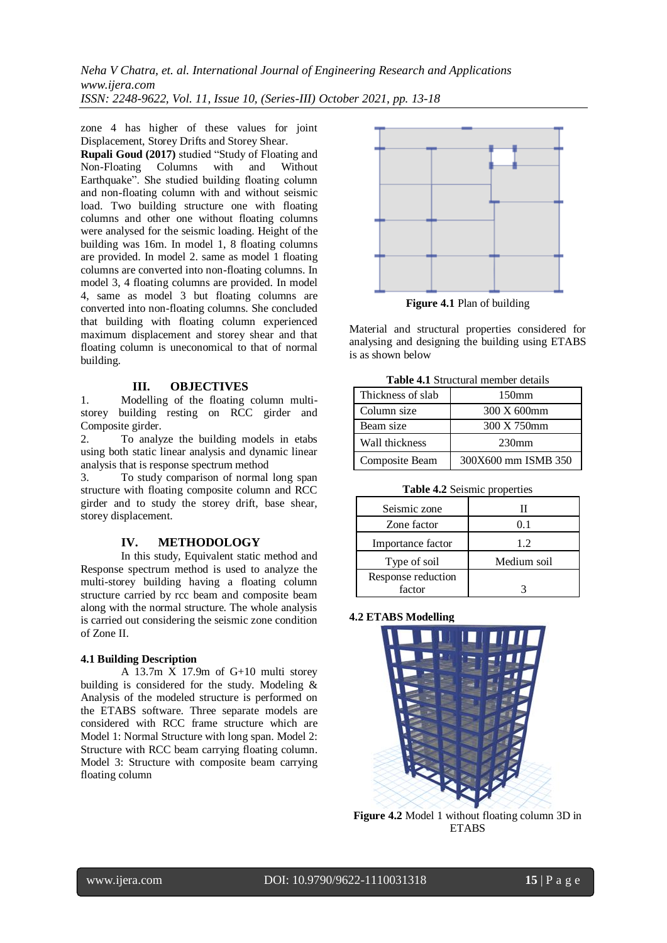*Neha V Chatra, et. al. International Journal of Engineering Research and Applications www.ijera.com ISSN: 2248-9622, Vol. 11, Issue 10, (Series-III) October 2021, pp. 13-18*

zone 4 has higher of these values for joint Displacement, Storey Drifts and Storey Shear.

**Rupali Goud (2017)** studied "Study of Floating and Non-Floating Columns with and Without Earthquake". She studied building floating column and non-floating column with and without seismic load. Two building structure one with floating columns and other one without floating columns were analysed for the seismic loading. Height of the building was 16m. In model 1, 8 floating columns are provided. In model 2. same as model 1 floating columns are converted into non-floating columns. In model 3, 4 floating columns are provided. In model 4, same as model 3 but floating columns are converted into non-floating columns. She concluded that building with floating column experienced maximum displacement and storey shear and that floating column is uneconomical to that of normal building.

#### **III. OBJECTIVES**

1. Modelling of the floating column multistorey building resting on RCC girder and Composite girder.

2. To analyze the building models in etabs using both static linear analysis and dynamic linear analysis that is response spectrum method

3. To study comparison of normal long span structure with floating composite column and RCC girder and to study the storey drift, base shear, storey displacement.

#### **IV. METHODOLOGY**

In this study, Equivalent static method and Response spectrum method is used to analyze the multi-storey building having a floating column structure carried by rcc beam and composite beam along with the normal structure. The whole analysis is carried out considering the seismic zone condition of Zone II.

#### **4.1 Building Description**

A 13.7m X 17.9m of G+10 multi storey building is considered for the study. Modeling & Analysis of the modeled structure is performed on the ETABS software. Three separate models are considered with RCC frame structure which are Model 1: Normal Structure with long span. Model 2: Structure with RCC beam carrying floating column. Model 3: Structure with composite beam carrying floating column



Material and structural properties considered for analysing and designing the building using ETABS is as shown below

**Table 4.1** Structural member details

| Thickness of slab<br>150mm |                     |  |  |  |  |
|----------------------------|---------------------|--|--|--|--|
| Column size                | 300 X 600mm         |  |  |  |  |
| Beam size                  | 300 X 750mm         |  |  |  |  |
| Wall thickness             | 230 <sub>mm</sub>   |  |  |  |  |
| Composite Beam             | 300X600 mm ISMB 350 |  |  |  |  |

**Table 4.2** Seismic properties

| Seismic zone       |             |
|--------------------|-------------|
| Zone factor        | 0.1         |
| Importance factor  | 12          |
| Type of soil       | Medium soil |
| Response reduction |             |
| factor             |             |

#### **4.2 ETABS Modelling**



**Figure 4.2** Model 1 without floating column 3D in **ETABS**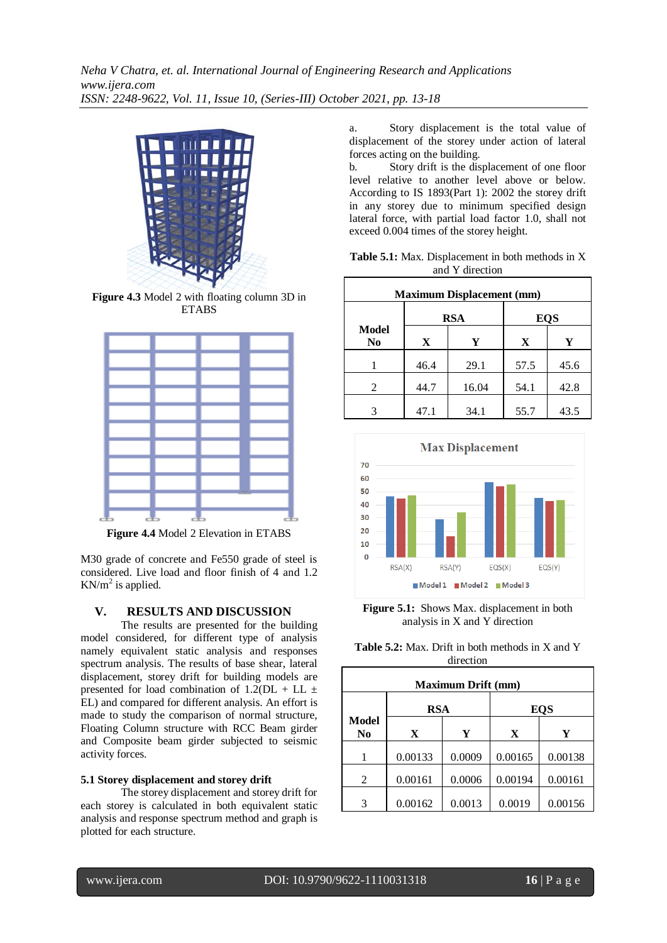

**Figure 4.3** Model 2 with floating column 3D in **ETABS** 



**Figure 4.4** Model 2 Elevation in ETABS

M30 grade of concrete and Fe550 grade of steel is considered. Live load and floor finish of 4 and 1.2  $KN/m^2$  is applied.

## **V. RESULTS AND DISCUSSION**

The results are presented for the building model considered, for different type of analysis namely equivalent static analysis and responses spectrum analysis. The results of base shear, lateral displacement, storey drift for building models are presented for load combination of  $1.2(DL + LL \pm$ EL) and compared for different analysis. An effort is made to study the comparison of normal structure, Floating Column structure with RCC Beam girder and Composite beam girder subjected to seismic activity forces.

## **5.1 Storey displacement and storey drift**

The storey displacement and storey drift for each storey is calculated in both equivalent static analysis and response spectrum method and graph is plotted for each structure.

a. Story displacement is the total value of displacement of the storey under action of lateral forces acting on the building.

b. Story drift is the displacement of one floor level relative to another level above or below. According to IS 1893(Part 1): 2002 the storey drift in any storey due to minimum specified design lateral force, with partial load factor 1.0, shall not exceed 0.004 times of the storey height.

| Table 5.1: Max. Displacement in both methods in X |  |
|---------------------------------------------------|--|
| and Y direction                                   |  |

|                    | <b>Maximum Displacement (mm)</b> |            |            |      |  |  |
|--------------------|----------------------------------|------------|------------|------|--|--|
|                    |                                  | <b>RSA</b> | <b>EQS</b> |      |  |  |
| <b>Model</b><br>No | X                                | Y          | X          | Y    |  |  |
|                    | 46.4                             | 29.1       | 57.5       | 45.6 |  |  |
| 2                  | 44.7                             | 16.04      | 54.1       | 42.8 |  |  |
|                    | 47.1                             | 34.1       | 55.7       | 43.5 |  |  |



**Figure 5.1:** Shows Max. displacement in both analysis in X and Y direction

| <b>Table 5.2:</b> Max. Drift in both methods in X and Y |           |  |  |
|---------------------------------------------------------|-----------|--|--|
|                                                         | direction |  |  |

| <b>Maximum Drift (mm)</b>      |             |        |            |         |  |
|--------------------------------|-------------|--------|------------|---------|--|
|                                | <b>RSA</b>  |        | <b>EQS</b> |         |  |
| <b>Model</b><br>N <sub>0</sub> | $\mathbf X$ | Y      | X          | Y       |  |
|                                | 0.00133     | 0.0009 | 0.00165    | 0.00138 |  |
| 2                              | 0.00161     | 0.0006 | 0.00194    | 0.00161 |  |
|                                | 0.00162     | 0.0013 | 0.0019     | 0.00156 |  |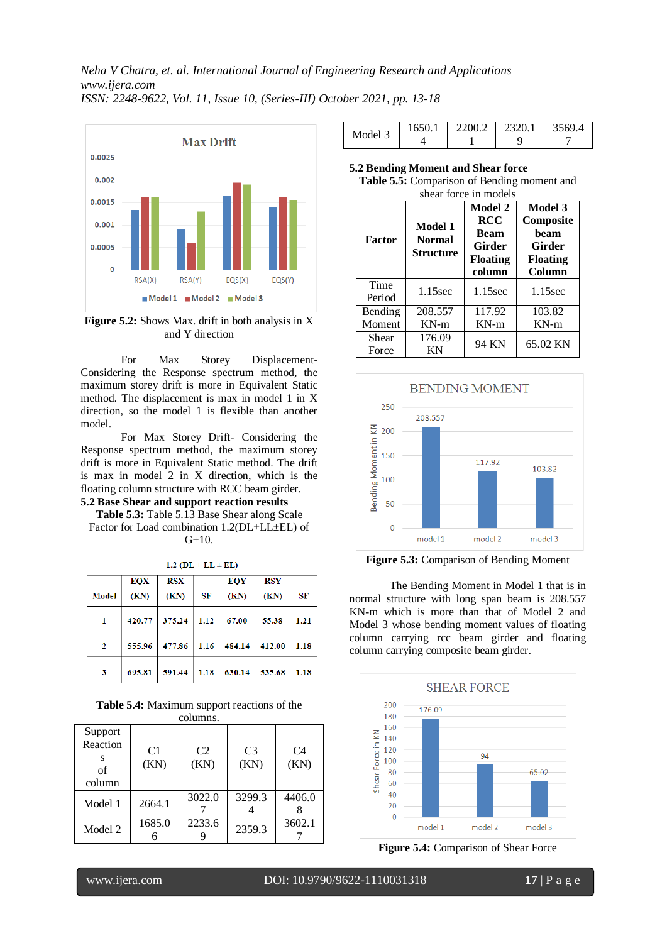

**Figure 5.2:** Shows Max. drift in both analysis in X and Y direction

For Max Storey Displacement-Considering the Response spectrum method, the maximum storey drift is more in Equivalent Static method. The displacement is max in model 1 in X direction, so the model 1 is flexible than another model.

For Max Storey Drift- Considering the Response spectrum method, the maximum storey drift is more in Equivalent Static method. The drift is max in model 2 in X direction, which is the floating column structure with RCC beam girder.

## **5.2 Base Shear and support reaction results**

**Table 5.3:** Table 5.13 Base Shear along Scale Factor for Load combination 1.2(DL+LL±EL) of  $G+10.$ 

| $1.2$ (DL + LL $\pm$ EL) |            |            |      |            |            |           |
|--------------------------|------------|------------|------|------------|------------|-----------|
|                          | <b>EQX</b> | <b>RSX</b> |      | <b>EQY</b> | <b>RSY</b> |           |
| <b>Model</b>             | (KN)       | (KN)       | SF   | (KN)       | (KN)       | <b>SF</b> |
| 1                        | 420.77     | 375.24     | 1.12 | 67.00      | 55.38      | 1.21      |
| 2                        | 555.96     | 477.86     | 1.16 | 484.14     | 412.00     | 1.18      |
| 3                        | 695.81     | 591.44     | 1.18 | 630.14     | 535.68     | 1.18      |

**Table 5.4:** Maximum support reactions of the columns.

| Support<br>Reaction<br>S<br>of<br>column | C <sub>1</sub><br>(KN) | C <sub>2</sub><br>(KN) | C <sub>3</sub><br>(KN) | C4<br>(KN) |
|------------------------------------------|------------------------|------------------------|------------------------|------------|
| Model 1                                  | 2664.1                 | 3022.0                 | 3299.3                 | 4406.0     |
| Model 2                                  | 1685.0                 | 2233.6                 | 2359.3                 | 3602.1     |

| Model 3 |  | $1650.1$   2200.2   2320.1   3569.4 |
|---------|--|-------------------------------------|
|         |  |                                     |

**5.2 Bending Moment and Shear force** 

| <b>Table 5.5:</b> Comparison of Bending moment and |
|----------------------------------------------------|
| shear force in models                              |

| <b>Factor</b>     | Model 1<br><b>Normal</b><br><b>Structure</b> | Model 2<br><b>RCC</b><br><b>Beam</b><br>Girder<br><b>Floating</b><br>column | Model 3<br>Composite<br>heam<br>Girder<br><b>Floating</b><br>Column |
|-------------------|----------------------------------------------|-----------------------------------------------------------------------------|---------------------------------------------------------------------|
| Time<br>Period    | $1.15$ sec                                   | 1.15sec                                                                     | $1.15$ sec                                                          |
| Bending<br>Moment | 208.557<br>$KN-m$                            | 117.92<br>$KN-m$                                                            | 103.82<br>$KN-m$                                                    |
| Shear             | 176.09                                       |                                                                             |                                                                     |
| Force             | ΚN                                           | 94 KN                                                                       | 65.02 KN                                                            |



**Figure 5.3:** Comparison of Bending Moment

The Bending Moment in Model 1 that is in normal structure with long span beam is 208.557 KN-m which is more than that of Model 2 and Model 3 whose bending moment values of floating column carrying rcc beam girder and floating column carrying composite beam girder.



**Figure 5.4:** Comparison of Shear Force